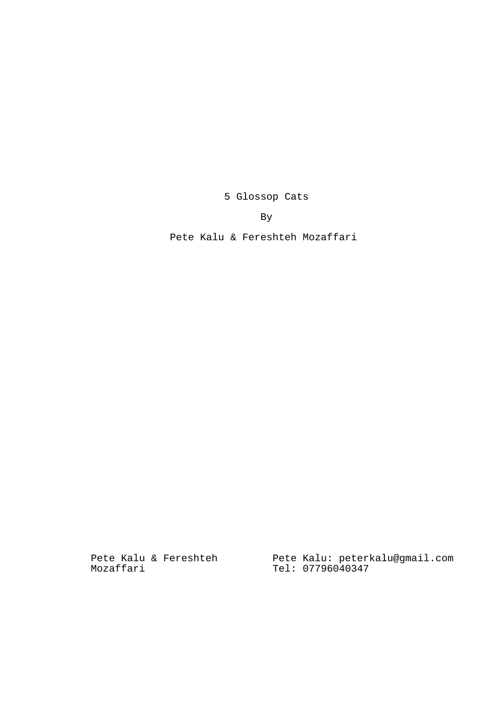5 Glossop Cats

By

Pete Kalu & Fereshteh Mozaffari

Pete Kalu & Fereshteh Mozaffari

Pete Kalu: peterkalu@gmail.com Tel: 07796040347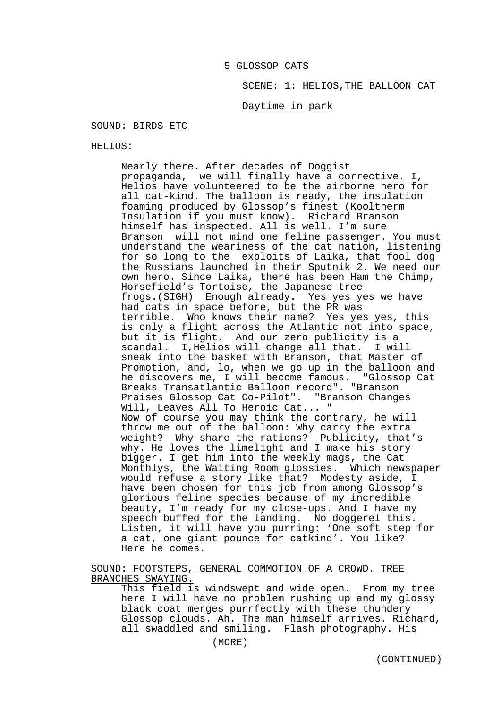### 5 GLOSSOP CATS

# SCENE: 1: HELIOS,THE BALLOON CAT

# Daytime in park

### SOUND: BIRDS ETC

HELIOS:

Nearly there. After decades of Doggist propaganda, we will finally have a corrective. I, Helios have volunteered to be the airborne hero for all cat-kind. The balloon is ready, the insulation foaming produced by Glossop's finest (Kooltherm Insulation if you must know). Richard Branson himself has inspected. All is well. I'm sure Branson will not mind one feline passenger. You must understand the weariness of the cat nation, listening for so long to the exploits of Laika, that fool dog the Russians launched in their Sputnik 2. We need our own hero. Since Laika, there has been Ham the Chimp, Horsefield's Tortoise, the Japanese tree frogs.(SIGH) Enough already. Yes yes yes we have had cats in space before, but the PR was terrible. Who knows their name? Yes yes yes, this is only a flight across the Atlantic not into space, but it is flight. And our zero publicity is a scandal. I,Helios will change all that. I will sneak into the basket with Branson, that Master of Promotion, and, lo, when we go up in the balloon and he discovers me, I will become famous. "Glossop Cat Breaks Transatlantic Balloon record". "Branson Praises Glossop Cat Co-Pilot". "Branson Changes Will, Leaves All To Heroic Cat... " Now of course you may think the contrary, he will throw me out of the balloon: Why carry the extra weight? Why share the rations? Publicity, that's why. He loves the limelight and I make his story bigger. I get him into the weekly mags, the Cat Monthlys, the Waiting Room glossies. Which newspaper would refuse a story like that? Modesty aside, I have been chosen for this job from among Glossop's glorious feline species because of my incredible beauty, I'm ready for my close-ups. And I have my speech buffed for the landing. No doggerel this. Listen, it will have you purring: 'One soft step for a cat, one giant pounce for catkind'. You like? Here he comes.

SOUND: FOOTSTEPS, GENERAL COMMOTION OF A CROWD. TREE BRANCHES SWAYING.

This field is windswept and wide open. From my tree here I will have no problem rushing up and my glossy black coat merges purrfectly with these thundery Glossop clouds. Ah. The man himself arrives. Richard, all swaddled and smiling. Flash photography. His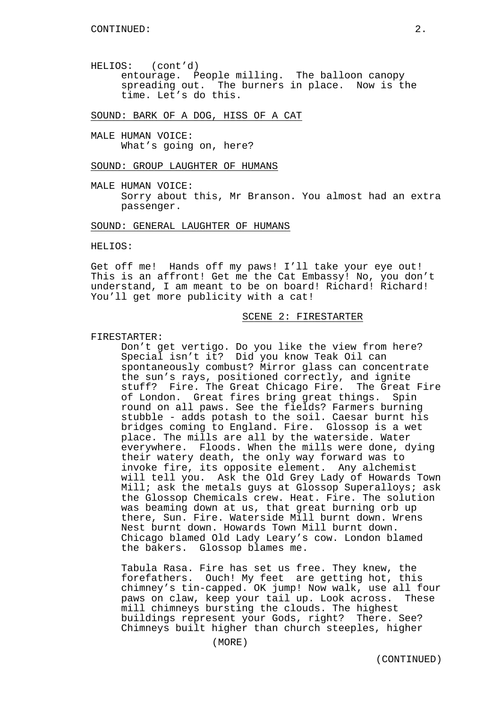HELIOS: (cont'd) entourage. People milling. The balloon canopy spreading out. The burners in place. Now is the time. Let's do this.

SOUND: BARK OF A DOG, HISS OF A CAT

MALE HUMAN VOICE: What's going on, here?

### SOUND: GROUP LAUGHTER OF HUMANS

MALE HUMAN VOICE: Sorry about this, Mr Branson. You almost had an extra passenger.

### SOUND: GENERAL LAUGHTER OF HUMANS

HELIOS:

Get off me! Hands off my paws! I'll take your eye out! This is an affront! Get me the Cat Embassy! No, you don't understand, I am meant to be on board! Richard! Richard! You'll get more publicity with a cat!

# SCENE 2: FIRESTARTER

### FIRESTARTER:

Don't get vertigo. Do you like the view from here? Special isn't it? Did you know Teak Oil can spontaneously combust? Mirror glass can concentrate the sun's rays, positioned correctly, and ignite stuff? Fire. The Great Chicago Fire. The Great Fire of London. Great fires bring great things. Spin round on all paws. See the fields? Farmers burning stubble - adds potash to the soil. Caesar burnt his bridges coming to England. Fire. Glossop is a wet place. The mills are all by the waterside. Water everywhere. Floods. When the mills were done, dying their watery death, the only way forward was to invoke fire, its opposite element. Any alchemist will tell you. Ask the Old Grey Lady of Howards Town Mill; ask the metals guys at Glossop Superalloys; ask the Glossop Chemicals crew. Heat. Fire. The solution was beaming down at us, that great burning orb up there, Sun. Fire. Waterside Mill burnt down. Wrens Nest burnt down. Howards Town Mill burnt down. Chicago blamed Old Lady Leary's cow. London blamed the bakers. Glossop blames me.

Tabula Rasa. Fire has set us free. They knew, the forefathers. Ouch! My feet are getting hot, this chimney's tin-capped. OK jump! Now walk, use all four paws on claw, keep your tail up. Look across. These mill chimneys bursting the clouds. The highest buildings represent your Gods, right? There. See? Chimneys built higher than church steeples, higher

(MORE)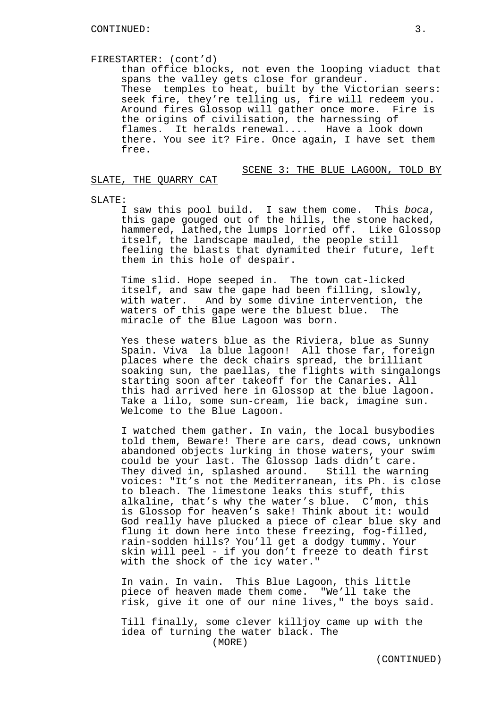# FIRESTARTER: (cont'd)

than office blocks, not even the looping viaduct that spans the valley gets close for grandeur. These temples to heat, built by the Victorian seers: seek fire, they're telling us, fire will redeem you. Around fires Glossop will gather once more. Fire is the origins of civilisation, the harnessing of flames. It heralds renewal.... Have a look down there. You see it? Fire. Once again, I have set them free.

# SCENE 3: THE BLUE LAGOON, TOLD BY

## SLATE, THE QUARRY CAT

#### SLATE:

I saw this pool build. I saw them come. This boca, this gape gouged out of the hills, the stone hacked, hammered, lathed,the lumps lorried off. Like Glossop itself, the landscape mauled, the people still feeling the blasts that dynamited their future, left them in this hole of despair.

Time slid. Hope seeped in. The town cat-licked itself, and saw the gape had been filling, slowly, with water. And by some divine intervention, the waters of this gape were the bluest blue. The miracle of the Blue Lagoon was born.

Yes these waters blue as the Riviera, blue as Sunny Spain. Viva la blue lagoon! All those far, foreign places where the deck chairs spread, the brilliant soaking sun, the paellas, the flights with singalongs starting soon after takeoff for the Canaries. All this had arrived here in Glossop at the blue lagoon. Take a lilo, some sun-cream, lie back, imagine sun. Welcome to the Blue Lagoon.

I watched them gather. In vain, the local busybodies told them, Beware! There are cars, dead cows, unknown abandoned objects lurking in those waters, your swim could be your last. The Glossop lads didn't care. They dived in, splashed around. Still the warning voices: "It's not the Mediterranean, its Ph. is close to bleach. The limestone leaks this stuff, this alkaline, that's why the water's blue. C'mon, this is Glossop for heaven's sake! Think about it: would God really have plucked a piece of clear blue sky and flung it down here into these freezing, fog-filled, rain-sodden hills? You'll get a dodgy tummy. Your skin will peel - if you don't freeze to death first with the shock of the icy water."

In vain. In vain. This Blue Lagoon, this little piece of heaven made them come. "We'll take the risk, give it one of our nine lives," the boys said.

Till finally, some clever killjoy came up with the idea of turning the water black. The (MORE)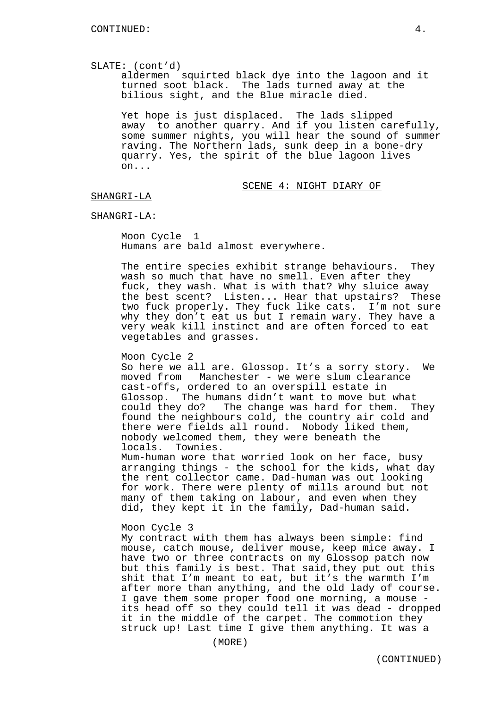#### SLATE: (cont'd)

aldermen squirted black dye into the lagoon and it turned soot black. The lads turned away at the bilious sight, and the Blue miracle died.

Yet hope is just displaced. The lads slipped away to another quarry. And if you listen carefully, some summer nights, you will hear the sound of summer raving. The Northern lads, sunk deep in a bone-dry quarry. Yes, the spirit of the blue lagoon lives on...

#### SCENE 4: NIGHT DIARY OF

### SHANGRI-LA

### SHANGRI-LA:

Moon Cycle 1 Humans are bald almost everywhere.

The entire species exhibit strange behaviours. They wash so much that have no smell. Even after they fuck, they wash. What is with that? Why sluice away the best scent? Listen... Hear that upstairs? These two fuck properly. They fuck like cats. I'm not sure why they don't eat us but I remain wary. They have a very weak kill instinct and are often forced to eat vegetables and grasses.

### Moon Cycle 2

So here we all are. Glossop. It's a sorry story. We moved from Manchester - we were slum clearance cast-offs, ordered to an overspill estate in Glossop. The humans didn't want to move but what could they do? The change was hard for them. They found the neighbours cold, the country air cold and there were fields all round. Nobody liked them, nobody welcomed them, they were beneath the locals. Townies.

Mum-human wore that worried look on her face, busy arranging things - the school for the kids, what day the rent collector came. Dad-human was out looking for work. There were plenty of mills around but not many of them taking on labour, and even when they did, they kept it in the family, Dad-human said.

# Moon Cycle 3

My contract with them has always been simple: find mouse, catch mouse, deliver mouse, keep mice away. I have two or three contracts on my Glossop patch now but this family is best. That said,they put out this shit that I'm meant to eat, but it's the warmth I'm after more than anything, and the old lady of course. I gave them some proper food one morning, a mouse its head off so they could tell it was dead - dropped it in the middle of the carpet. The commotion they struck up! Last time I give them anything. It was a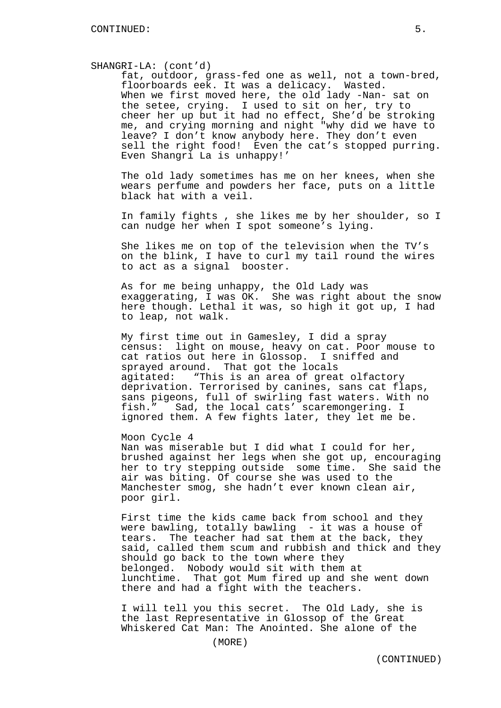#### SHANGRI-LA: (cont'd)

fat, outdoor, grass-fed one as well, not a town-bred, floorboards eek. It was a delicacy. Wasted. When we first moved here, the old lady -Nan- sat on the setee, crying. I used to sit on her, try to cheer her up but it had no effect, She'd be stroking me, and crying morning and night "why did we have to leave? I don't know anybody here. They don't even sell the right food! Even the cat's stopped purring. Even Shangri La is unhappy!'

The old lady sometimes has me on her knees, when she wears perfume and powders her face, puts on a little black hat with a veil.

In family fights , she likes me by her shoulder, so I can nudge her when I spot someone's lying.

She likes me on top of the television when the TV's on the blink, I have to curl my tail round the wires to act as a signal booster.

As for me being unhappy, the Old Lady was exaggerating, I was OK. She was right about the snow here though. Lethal it was, so high it got up, I had to leap, not walk.

My first time out in Gamesley, I did a spray census: light on mouse, heavy on cat. Poor mouse to cat ratios out here in Glossop. I sniffed and sprayed around. That got the locals agitated: "This is an area of great olfactory deprivation. Terrorised by canines, sans cat flaps, sans pigeons, full of swirling fast waters. With no fish." Sad, the local cats' scaremongering. I ignored them. A few fights later, they let me be.

#### Moon Cycle 4

Nan was miserable but I did what I could for her, brushed against her legs when she got up, encouraging her to try stepping outside some time. She said the air was biting. Of course she was used to the Manchester smog, she hadn't ever known clean air, poor girl.

First time the kids came back from school and they were bawling, totally bawling - it was a house of tears. The teacher had sat them at the back, they said, called them scum and rubbish and thick and they should go back to the town where they belonged. Nobody would sit with them at lunchtime. That got Mum fired up and she went down there and had a fight with the teachers.

I will tell you this secret. The Old Lady, she is the last Representative in Glossop of the Great Whiskered Cat Man: The Anointed. She alone of the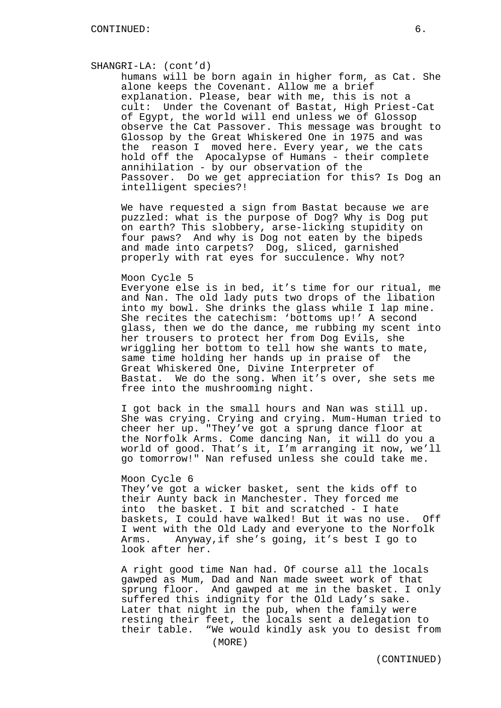#### SHANGRI-LA: (cont'd)

humans will be born again in higher form, as Cat. She alone keeps the Covenant. Allow me a brief explanation. Please, bear with me, this is not a cult: Under the Covenant of Bastat, High Priest-Cat of Egypt, the world will end unless we of Glossop observe the Cat Passover. This message was brought to Glossop by the Great Whiskered One in 1975 and was the reason I moved here. Every year, we the cats hold off the Apocalypse of Humans - their complete annihilation - by our observation of the Passover. Do we get appreciation for this? Is Dog an intelligent species?!

We have requested a sign from Bastat because we are puzzled: what is the purpose of Dog? Why is Dog put on earth? This slobbery, arse-licking stupidity on four paws? And why is Dog not eaten by the bipeds and made into carpets? Dog, sliced, garnished properly with rat eyes for succulence. Why not?

#### Moon Cycle 5

Everyone else is in bed, it's time for our ritual, me and Nan. The old lady puts two drops of the libation into my bowl. She drinks the glass while I lap mine. She recites the catechism: 'bottoms up!' A second glass, then we do the dance, me rubbing my scent into her trousers to protect her from Dog Evils, she wriggling her bottom to tell how she wants to mate, same time holding her hands up in praise of the Great Whiskered One, Divine Interpreter of Bastat. We do the song. When it's over, she sets me free into the mushrooming night.

I got back in the small hours and Nan was still up. She was crying. Crying and crying. Mum-Human tried to cheer her up. "They've got a sprung dance floor at the Norfolk Arms. Come dancing Nan, it will do you a world of good. That's it, I'm arranging it now, we'll go tomorrow!" Nan refused unless she could take me.

#### Moon Cycle 6

They've got a wicker basket, sent the kids off to their Aunty back in Manchester. They forced me into the basket. I bit and scratched - I hate baskets, I could have walked! But it was no use. Off I went with the Old Lady and everyone to the Norfolk Arms. Anyway,if she's going, it's best I go to look after her.

A right good time Nan had. Of course all the locals gawped as Mum, Dad and Nan made sweet work of that sprung floor. And gawped at me in the basket. I only suffered this indignity for the Old Lady's sake. Later that night in the pub, when the family were resting their feet, the locals sent a delegation to their table. "We would kindly ask you to desist from

(MORE)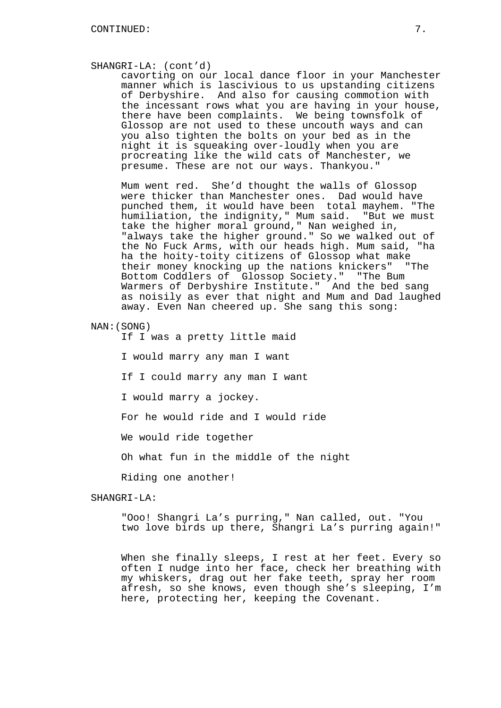#### SHANGRI-LA: (cont'd)

cavorting on our local dance floor in your Manchester manner which is lascivious to us upstanding citizens of Derbyshire. And also for causing commotion with the incessant rows what you are having in your house, there have been complaints. We being townsfolk of Glossop are not used to these uncouth ways and can you also tighten the bolts on your bed as in the night it is squeaking over-loudly when you are procreating like the wild cats of Manchester, we presume. These are not our ways. Thankyou."

Mum went red. She'd thought the walls of Glossop were thicker than Manchester ones. Dad would have punched them, it would have been total mayhem. "The humiliation, the indignity," Mum said. "But we must take the higher moral ground," Nan weighed in, "always take the higher ground." So we walked out of the No Fuck Arms, with our heads high. Mum said, "ha ha the hoity-toity citizens of Glossop what make their money knocking up the nations knickers" "The Bottom Coddlers of Glossop Society." "The Bum Warmers of Derbyshire Institute." And the bed sang as noisily as ever that night and Mum and Dad laughed away. Even Nan cheered up. She sang this song:

# NAN:(SONG)

If I was a pretty little maid

I would marry any man I want

If I could marry any man I want

I would marry a jockey.

For he would ride and I would ride

We would ride together

Oh what fun in the middle of the night

Riding one another!

### SHANGRI-LA:

"Ooo! Shangri La's purring," Nan called, out. "You two love birds up there, Shangri La's purring again!"

When she finally sleeps, I rest at her feet. Every so often I nudge into her face, check her breathing with my whiskers, drag out her fake teeth, spray her room afresh, so she knows, even though she's sleeping, I'm here, protecting her, keeping the Covenant.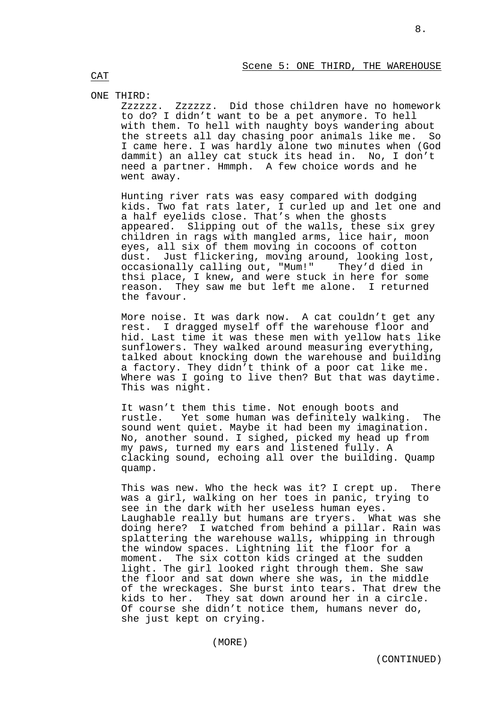# ONE THIRD:

Zzzzzz. Zzzzzz. Did those children have no homework to do? I didn't want to be a pet anymore. To hell with them. To hell with naughty boys wandering about the streets all day chasing poor animals like me. So I came here. I was hardly alone two minutes when (God dammit) an alley cat stuck its head in. No, I don't need a partner. Hmmph. A few choice words and he went away.

Hunting river rats was easy compared with dodging kids. Two fat rats later, I curled up and let one and a half eyelids close. That's when the ghosts appeared. Slipping out of the walls, these six grey children in rags with mangled arms, lice hair, moon eyes, all six of them moving in cocoons of cotton dust. Just flickering, moving around, looking lost, occasionally calling out, "Mum!" They'd died in thsi place, I knew, and were stuck in here for some reason. They saw me but left me alone. I returned the favour.

More noise. It was dark now. A cat couldn't get any rest. I dragged myself off the warehouse floor and hid. Last time it was these men with yellow hats like sunflowers. They walked around measuring everything, talked about knocking down the warehouse and building a factory. They didn't think of a poor cat like me. Where was I going to live then? But that was daytime. This was night.

It wasn't them this time. Not enough boots and rustle. Yet some human was definitely walking. The sound went quiet. Maybe it had been my imagination. No, another sound. I sighed, picked my head up from my paws, turned my ears and listened fully. A clacking sound, echoing all over the building. Quamp quamp.

This was new. Who the heck was it? I crept up. There was a girl, walking on her toes in panic, trying to see in the dark with her useless human eyes. Laughable really but humans are tryers. What was she doing here? I watched from behind a pillar. Rain was splattering the warehouse walls, whipping in through the window spaces. Lightning lit the floor for a moment. The six cotton kids cringed at the sudden light. The girl looked right through them. She saw the floor and sat down where she was, in the middle of the wreckages. She burst into tears. That drew the kids to her. They sat down around her in a circle. Of course she didn't notice them, humans never do, she just kept on crying.

CAT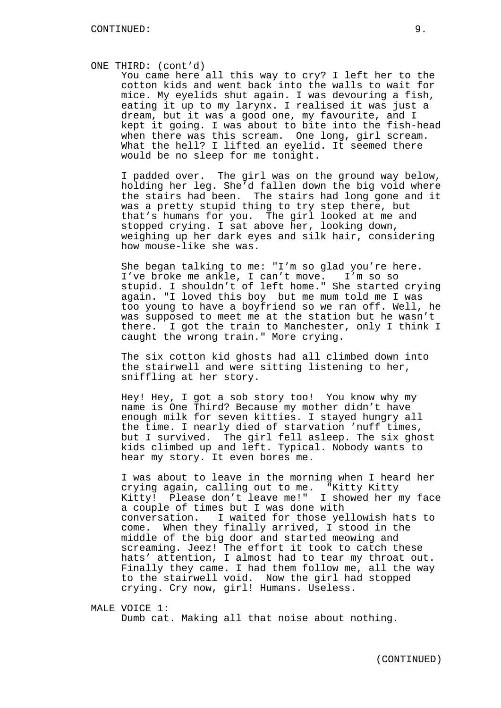#### ONE THIRD: (cont'd)

You came here all this way to cry? I left her to the cotton kids and went back into the walls to wait for mice. My eyelids shut again. I was devouring a fish, eating it up to my larynx. I realised it was just a dream, but it was a good one, my favourite, and I kept it going. I was about to bite into the fish-head when there was this scream. One long, girl scream. What the hell? I lifted an eyelid. It seemed there would be no sleep for me tonight.

I padded over. The girl was on the ground way below, holding her leg. She'd fallen down the big void where the stairs had been. The stairs had long gone and it was a pretty stupid thing to try step there, but that's humans for you. The girl looked at me and stopped crying. I sat above her, looking down, weighing up her dark eyes and silk hair, considering how mouse-like she was.

She began talking to me: "I'm so glad you're here. I've broke me ankle, I can't move. I'm so so stupid. I shouldn't of left home." She started crying again. "I loved this boy but me mum told me I was too young to have a boyfriend so we ran off. Well, he was supposed to meet me at the station but he wasn't there. I got the train to Manchester, only I think I caught the wrong train." More crying.

The six cotton kid ghosts had all climbed down into the stairwell and were sitting listening to her, sniffling at her story.

Hey! Hey, I got a sob story too! You know why my name is One Third? Because my mother didn't have enough milk for seven kitties. I stayed hungry all the time. I nearly died of starvation 'nuff times, but I survived. The girl fell asleep. The six ghost kids climbed up and left. Typical. Nobody wants to hear my story. It even bores me.

I was about to leave in the morning when I heard her crying again, calling out to me. "Kitty Kitty Kitty! Please don't leave me!" I showed her my face a couple of times but I was done with conversation. I waited for those yellowish hats to come. When they finally arrived, I stood in the middle of the big door and started meowing and screaming. Jeez! The effort it took to catch these hats' attention, I almost had to tear my throat out. Finally they came. I had them follow me, all the way to the stairwell void. Now the girl had stopped crying. Cry now, girl! Humans. Useless.

MALE VOICE 1: Dumb cat. Making all that noise about nothing.